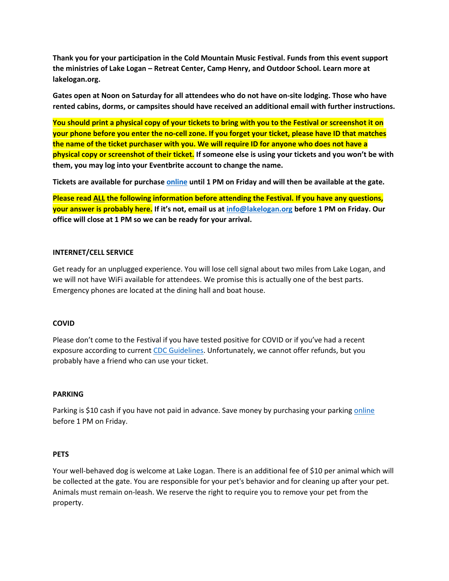**Thank you for your participation in the Cold Mountain Music Festival. Funds from this event support the ministries of Lake Logan – Retreat Center, Camp Henry, and Outdoor School. Learn more at lakelogan.org.**

**Gates open at Noon on Saturday for all attendees who do not have on-site lodging. Those who have rented cabins, dorms, or campsites should have received an additional email with further instructions.**

**You should print a physical copy of your tickets to bring with you to the Festival or screenshot it on your phone before you enter the no-cell zone. If you forget your ticket, please have ID that matches the name of the ticket purchaser with you. We will require ID for anyone who does not have a physical copy or screenshot of their ticket. If someone else is using your tickets and you won't be with them, you may log into your Eventbrite account to change the name.**

**Tickets are available for purchase [online](https://www.eventbrite.com/e/2022-cold-mountain-music-festival-tickets-214797654567) until 1 PM on Friday and will then be available at the gate.**

**Please read ALL the following information before attending the Festival. If you have any questions, your answer is probably here. If it's not, email us at [info@lakelogan.org](mailto:info@lakelogan.org) before 1 PM on Friday. Our office will close at 1 PM so we can be ready for your arrival.**

## **INTERNET/CELL SERVICE**

Get ready for an unplugged experience. You will lose cell signal about two miles from Lake Logan, and we will not have WiFi available for attendees. We promise this is actually one of the best parts. Emergency phones are located at the dining hall and boat house.

#### **COVID**

Please don't come to the Festival if you have tested positive for COVID or if you've had a recent exposure according to current [CDC Guidelines.](https://www.cdc.gov/coronavirus/2019-ncov/your-health/quarantine-isolation.html) Unfortunately, we cannot offer refunds, but you probably have a friend who can use your ticket.

#### **PARKING**

Parking is \$10 cash if you have not paid in advance. Save money by purchasing your parking [online](https://www.eventbrite.com/e/2022-cold-mountain-music-festival-tickets-214797654567) before 1 PM on Friday.

#### **PETS**

Your well-behaved dog is welcome at Lake Logan. There is an additional fee of \$10 per animal which will be collected at the gate. You are responsible for your pet's behavior and for cleaning up after your pet. Animals must remain on-leash. We reserve the right to require you to remove your pet from the property.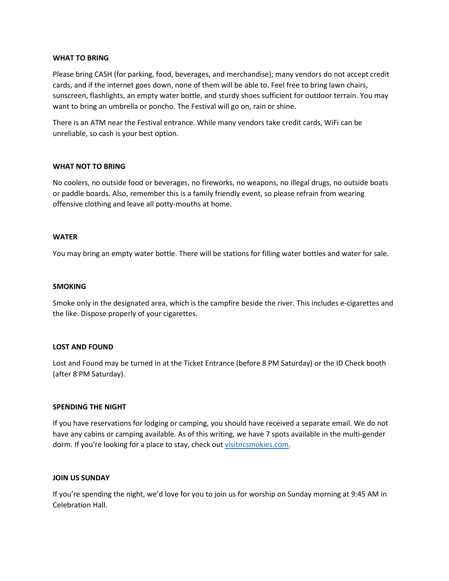### **WHAT TO BRING**

Please bring CASH (for parking, food, beverages, and merchandise); many vendors do not accept credit cards, and if the internet goes down, none of them will be able to. Feel free to bring lawn chairs, sunscreen, flashlights, an empty water bottle, and sturdy shoes sufficient for outdoor terrain. You may want to bring an umbrella or poncho. The Festival will go on, rain or shine.

There is an ATM near the Festival entrance. While many vendors take credit cards, WiFi can be unreliable, so cash is your best option.

## **WHAT NOT TO BRING**

No coolers, no outside food or beverages, no fireworks, no weapons, no illegal drugs, no outside boats or paddle boards. Also, remember this is a family friendly event, so please refrain from wearing offensive clothing and leave all potty-mouths at home.

## **WATER**

You may bring an empty water bottle. There will be stations for filling water bottles and water for sale.

### **SMOKING**

Smoke only in the designated area, which is the campfire beside the river. This includes e-cigarettes and the like. Dispose properly of your cigarettes.

#### **LOST AND FOUND**

Lost and Found may be turned in at the Ticket Entrance (before 8 PM Saturday) or the ID Check booth (after 8 PM Saturday).

#### **SPENDING THE NIGHT**

If you have reservations for lodging or camping, you should have received a separate email. We do not have any cabins or camping available. As of this writing, we have 7 spots available in the multi-gender dorm. If you're looking for a place to stay, check out [visitncsmokies.com.](https://visitncsmokies.com/)

#### **JOIN US SUNDAY**

If you're spending the night, we'd love for you to join us for worship on Sunday morning at 9:45 AM in Celebration Hall.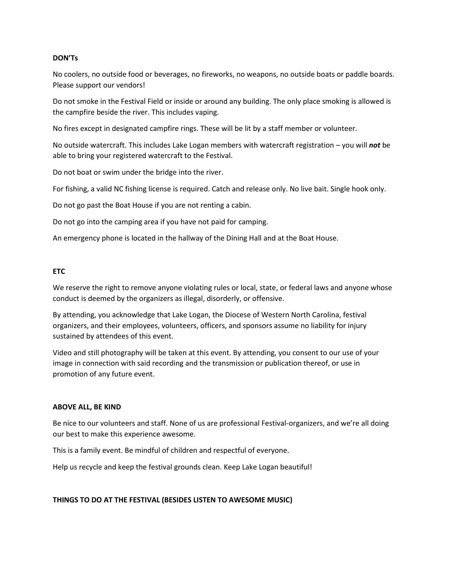## **DON'Ts**

No coolers, no outside food or beverages, no fireworks, no weapons, no outside boats or paddle boards. Please support our vendors!

Do not smoke in the Festival Field or inside or around any building. The only place smoking is allowed is the campfire beside the river. This includes vaping.

No fires except in designated campfire rings. These will be lit by a staff member or volunteer.

No outside watercraft. This includes Lake Logan members with watercraft registration – you will *not* be able to bring your registered watercraft to the Festival.

Do not boat or swim under the bridge into the river.

For fishing, a valid NC fishing license is required. Catch and release only. No live bait. Single hook only.

Do not go past the Boat House if you are not renting a cabin.

Do not go into the camping area if you have not paid for camping.

An emergency phone is located in the hallway of the Dining Hall and at the Boat House.

## **ETC**

We reserve the right to remove anyone violating rules or local, state, or federal laws and anyone whose conduct is deemed by the organizers as illegal, disorderly, or offensive.

By attending, you acknowledge that Lake Logan, the Diocese of Western North Carolina, festival organizers, and their employees, volunteers, officers, and sponsors assume no liability for injury sustained by attendees of this event.

Video and still photography will be taken at this event. By attending, you consent to our use of your image in connection with said recording and the transmission or publication thereof, or use in promotion of any future event.

#### **ABOVE ALL, BE KIND**

Be nice to our volunteers and staff. None of us are professional Festival-organizers, and we're all doing our best to make this experience awesome.

This is a family event. Be mindful of children and respectful of everyone.

Help us recycle and keep the festival grounds clean. Keep Lake Logan beautiful!

# **THINGS TO DO AT THE FESTIVAL (BESIDES LISTEN TO AWESOME MUSIC)**